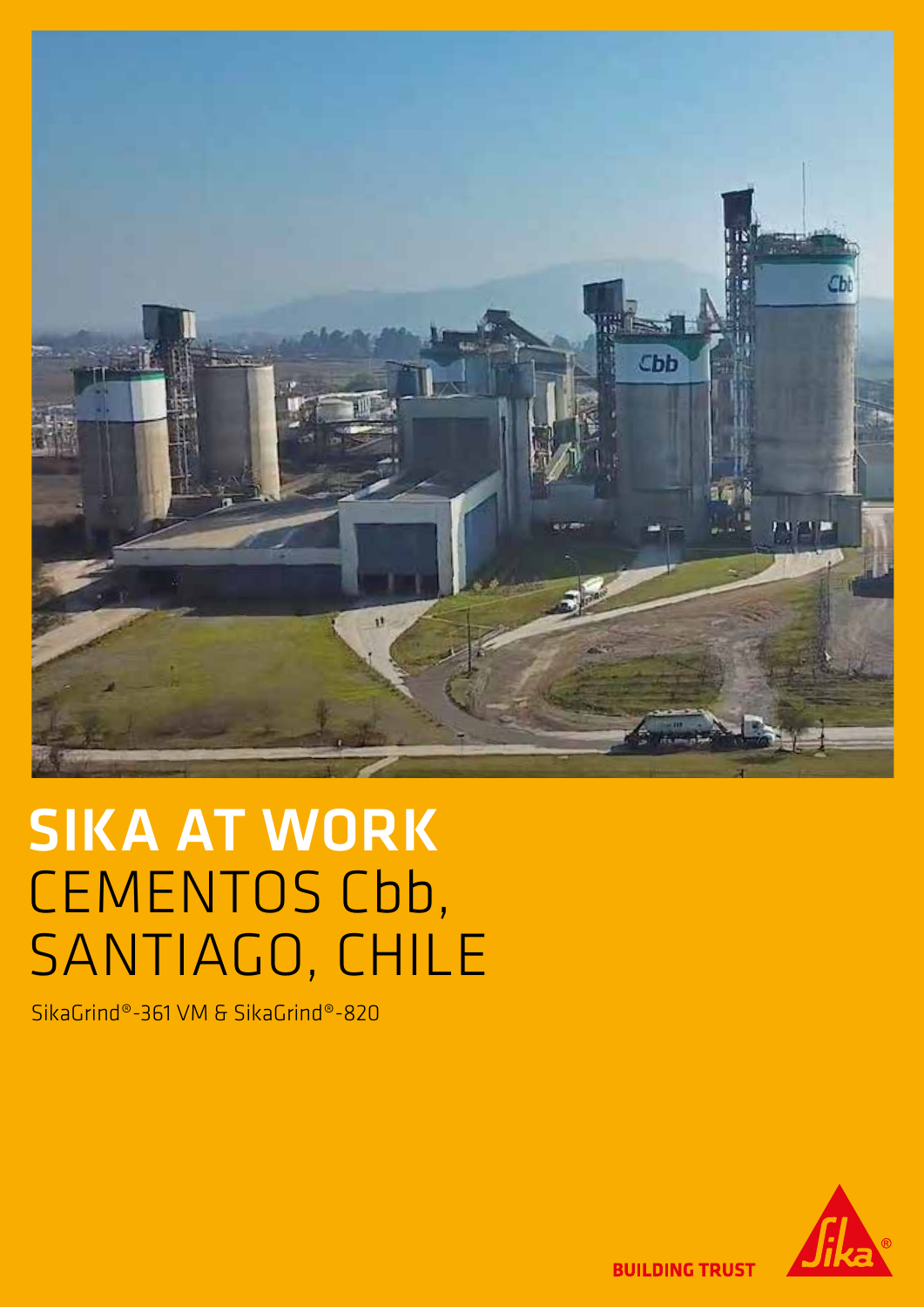

# SIKA AT WORK CEMENTOS Cbb, SANTIAGO, CHILE

SikaGrind®-361 VM & SikaGrind®-820



**BUILDING TRUST**